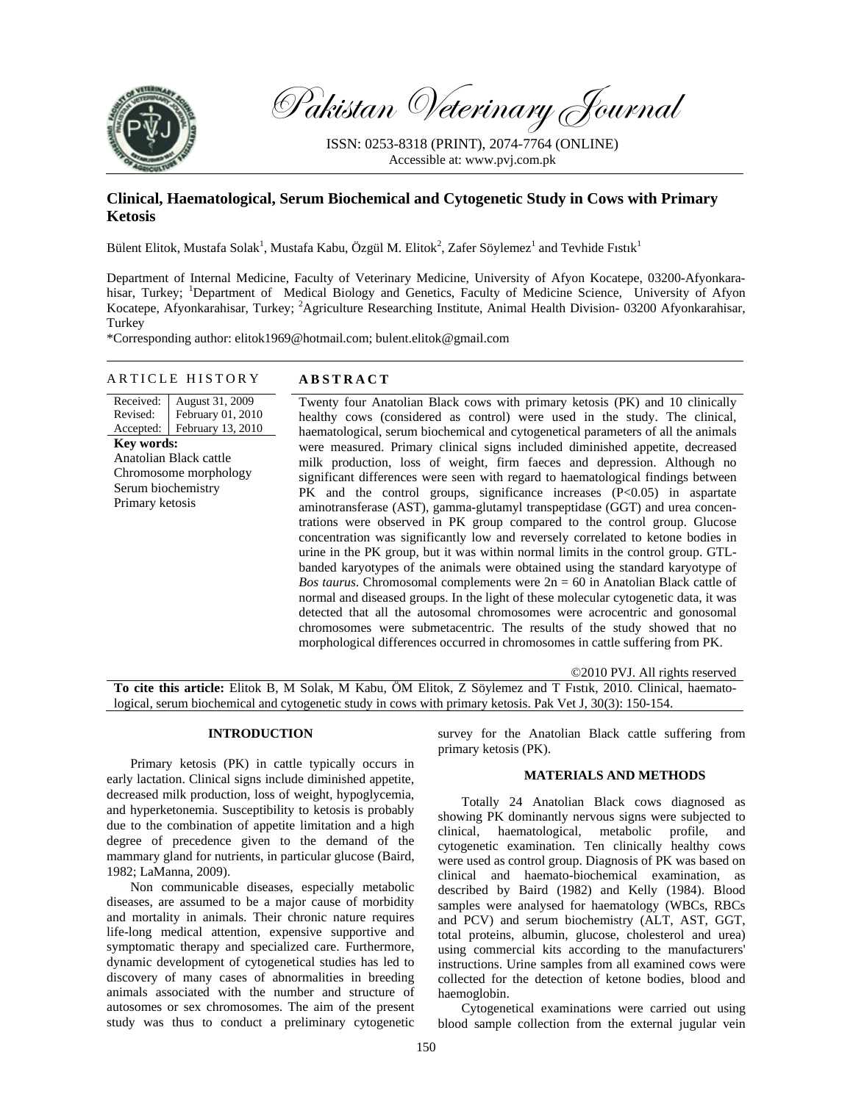

Pakistan Veterinary Journal

ISSN: 0253-8318 (PRINT), 2074-7764 (ONLINE) Accessible at: www.pvj.com.pk

# **Clinical, Haematological, Serum Biochemical and Cytogenetic Study in Cows with Primary Ketosis**

Bülent Elitok, Mustafa Solak<sup>1</sup>, Mustafa Kabu, Özgül M. Elitok<sup>2</sup>, Zafer Söylemez<sup>1</sup> and Tevhide Fıstık<sup>1</sup>

Department of Internal Medicine, Faculty of Veterinary Medicine, University of Afyon Kocatepe, 03200-Afyonkarahisar, Turkey; <sup>1</sup>Department of Medical Biology and Genetics, Faculty of Medicine Science, University of Afyon Kocatepe, Afyonkarahisar, Turkey; <sup>2</sup>Agriculture Researching Institute, Animal Health Division- 03200 Afyonkarahisar, Turkey

\*Corresponding author: elitok1969@hotmail.com; bulent.elitok@gmail.com

### ARTICLE HISTORY **ABSTRACT**

Received: Revised: Accepted: August 31, 2009 February 01, 2010 February 13, 2010 **Key words:**  Anatolian Black cattle Chromosome morphology Serum biochemistry Primary ketosis

Twenty four Anatolian Black cows with primary ketosis (PK) and 10 clinically healthy cows (considered as control) were used in the study. The clinical, haematological, serum biochemical and cytogenetical parameters of all the animals were measured. Primary clinical signs included diminished appetite, decreased milk production, loss of weight, firm faeces and depression. Although no significant differences were seen with regard to haematological findings between PK and the control groups, significance increases (P<0.05) in aspartate aminotransferase (AST), gamma-glutamyl transpeptidase (GGT) and urea concentrations were observed in PK group compared to the control group. Glucose concentration was significantly low and reversely correlated to ketone bodies in urine in the PK group, but it was within normal limits in the control group. GTLbanded karyotypes of the animals were obtained using the standard karyotype of *Bos taurus*. Chromosomal complements were  $2n = 60$  in Anatolian Black cattle of normal and diseased groups. In the light of these molecular cytogenetic data, it was detected that all the autosomal chromosomes were acrocentric and gonosomal chromosomes were submetacentric. The results of the study showed that no morphological differences occurred in chromosomes in cattle suffering from PK.

©2010 PVJ. All rights reserved **To cite this article:** Elitok B, M Solak, M Kabu, ÖM Elitok, Z Söylemez and T Fıstık, 2010. Clinical, haematological, serum biochemical and cytogenetic study in cows with primary ketosis. Pak Vet J, 30(3): 150-154.

# **INTRODUCTION**

Primary ketosis (PK) in cattle typically occurs in early lactation. Clinical signs include diminished appetite, decreased milk production, loss of weight, hypoglycemia, and hyperketonemia. Susceptibility to ketosis is probably due to the combination of appetite limitation and a high degree of precedence given to the demand of the mammary gland for nutrients, in particular glucose (Baird, 1982; LaManna, 2009).

Non communicable diseases, especially metabolic diseases, are assumed to be a major cause of morbidity and mortality in animals. Their chronic nature requires life-long medical attention, expensive supportive and symptomatic therapy and specialized care. Furthermore, dynamic development of cytogenetical studies has led to discovery of many cases of abnormalities in breeding animals associated with the number and structure of autosomes or sex chromosomes. The aim of the present study was thus to conduct a preliminary cytogenetic

survey for the Anatolian Black cattle suffering from primary ketosis (PK).

#### **MATERIALS AND METHODS**

Totally 24 Anatolian Black cows diagnosed as showing PK dominantly nervous signs were subjected to clinical, haematological, metabolic profile, and cytogenetic examination. Ten clinically healthy cows were used as control group. Diagnosis of PK was based on clinical and haemato-biochemical examination, as described by Baird (1982) and Kelly (1984). Blood samples were analysed for haematology (WBCs, RBCs and PCV) and serum biochemistry (ALT, AST, GGT, total proteins, albumin, glucose, cholesterol and urea) using commercial kits according to the manufacturers' instructions. Urine samples from all examined cows were collected for the detection of ketone bodies, blood and haemoglobin.

Cytogenetical examinations were carried out using blood sample collection from the external jugular vein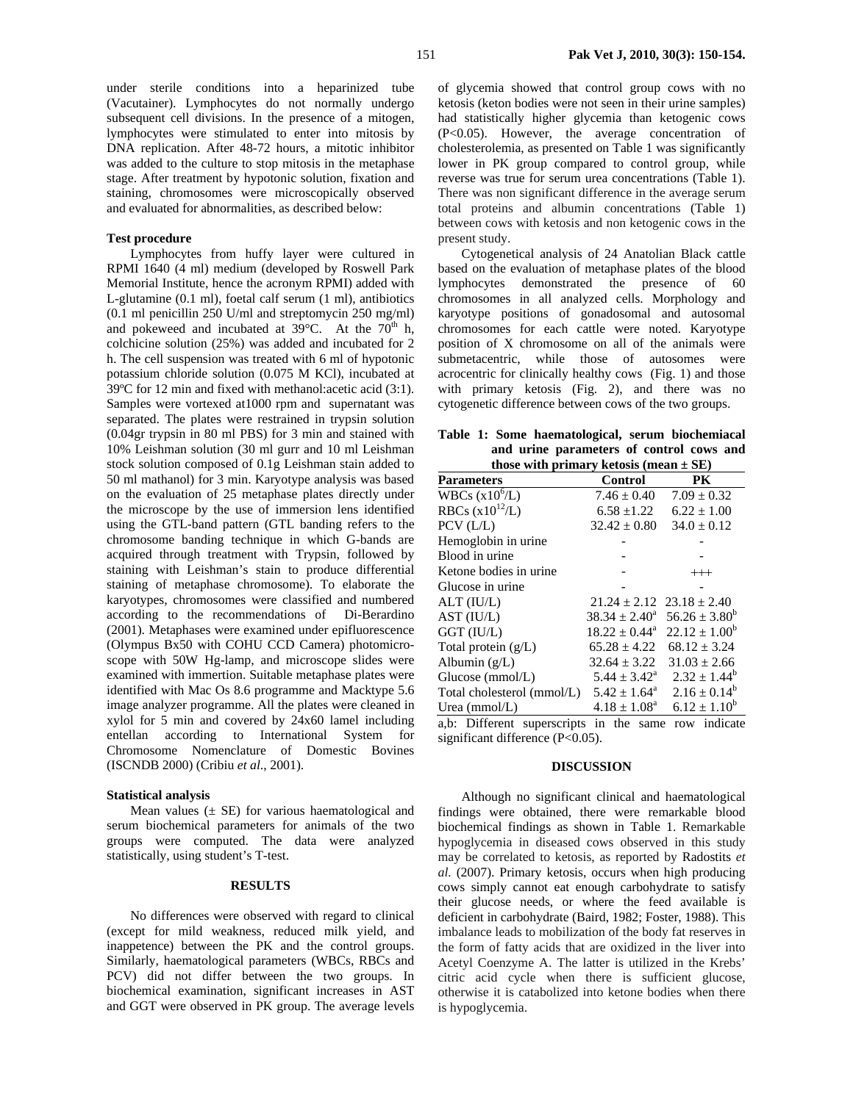under sterile conditions into a heparinized tube (Vacutainer). Lymphocytes do not normally undergo subsequent cell divisions. In the presence of a mitogen, lymphocytes were stimulated to enter into mitosis by DNA replication. After 48-72 hours, a mitotic inhibitor was added to the culture to stop mitosis in the metaphase stage. After treatment by hypotonic solution, fixation and staining, chromosomes were microscopically observed and evaluated for abnormalities, as described below:

## **Test procedure**

Lymphocytes from huffy layer were cultured in RPMI 1640 (4 ml) medium (developed by Roswell Park Memorial Institute, hence the acronym RPMI) added with L-glutamine (0.1 ml), foetal calf serum (1 ml), antibiotics (0.1 ml penicillin 250 U/ml and streptomycin 250 mg/ml) and pokeweed and incubated at  $39^{\circ}$ C. At the  $70^{th}$  h, colchicine solution (25%) was added and incubated for 2 h. The cell suspension was treated with 6 ml of hypotonic potassium chloride solution (0.075 M KCl), incubated at 39ºC for 12 min and fixed with methanol:acetic acid (3:1). Samples were vortexed at1000 rpm and supernatant was separated. The plates were restrained in trypsin solution (0.04gr trypsin in 80 ml PBS) for 3 min and stained with 10% Leishman solution (30 ml gurr and 10 ml Leishman stock solution composed of 0.1g Leishman stain added to 50 ml mathanol) for 3 min. Karyotype analysis was based on the evaluation of 25 metaphase plates directly under the microscope by the use of immersion lens identified using the GTL-band pattern (GTL banding refers to the chromosome banding technique in which G-bands are acquired through treatment with Trypsin, followed by staining with Leishman's stain to produce differential staining of metaphase chromosome). To elaborate the karyotypes, chromosomes were classified and numbered according to the recommendations of Di-Berardino (2001). Metaphases were examined under epifluorescence (Olympus Bx50 with COHU CCD Camera) photomicroscope with 50W Hg-lamp, and microscope slides were examined with immertion. Suitable metaphase plates were identified with Mac Os 8.6 programme and Macktype 5.6 image analyzer programme. All the plates were cleaned in xylol for 5 min and covered by 24x60 lamel including entellan according to International System for Chromosome Nomenclature of Domestic Bovines (ISCNDB 2000) (Cribiu *et al*., 2001).

#### **Statistical analysis**

Mean values  $(\pm \text{ SE})$  for various haematological and serum biochemical parameters for animals of the two groups were computed. The data were analyzed statistically, using student's T-test.

### **RESULTS**

No differences were observed with regard to clinical (except for mild weakness, reduced milk yield, and inappetence) between the PK and the control groups. Similarly, haematological parameters (WBCs, RBCs and PCV) did not differ between the two groups. In biochemical examination, significant increases in AST and GGT were observed in PK group. The average levels of glycemia showed that control group cows with no ketosis (keton bodies were not seen in their urine samples) had statistically higher glycemia than ketogenic cows (P<0.05). However, the average concentration of cholesterolemia, as presented on Table 1 was significantly lower in PK group compared to control group, while reverse was true for serum urea concentrations (Table 1). There was non significant difference in the average serum total proteins and albumin concentrations (Table 1) between cows with ketosis and non ketogenic cows in the present study.

Cytogenetical analysis of 24 Anatolian Black cattle based on the evaluation of metaphase plates of the blood lymphocytes demonstrated the presence of 60 chromosomes in all analyzed cells. Morphology and karyotype positions of gonadosomal and autosomal chromosomes for each cattle were noted. Karyotype position of X chromosome on all of the animals were submetacentric, while those of autosomes were acrocentric for clinically healthy cows (Fig. 1) and those with primary ketosis (Fig. 2), and there was no cytogenetic difference between cows of the two groups.

| Table 1: Some haematological, serum biochemiacal |  |  |  |  |  |
|--------------------------------------------------|--|--|--|--|--|
| and urine parameters of control cows and         |  |  |  |  |  |
| those with primary ketosis (mean $\pm$ SE)       |  |  |  |  |  |

| $\frac{1}{2}$ with primary accosis $\frac{1}{2}$ mean $\pm$ 527 |                                   |                                                   |  |  |  |  |  |  |  |
|-----------------------------------------------------------------|-----------------------------------|---------------------------------------------------|--|--|--|--|--|--|--|
| <b>Parameters</b>                                               | <b>Control</b>                    | <b>PK</b>                                         |  |  |  |  |  |  |  |
| WBCs $(x106/L)$                                                 | $7.46 \pm 0.40$                   | $7.09 \pm 0.32$                                   |  |  |  |  |  |  |  |
| RBCs $(x10^{12}/L)$                                             | $6.58 \pm 1.22$                   | $6.22 \pm 1.00$                                   |  |  |  |  |  |  |  |
| PCV (L/L)                                                       | $32.42 \pm 0.80$                  | $34.0 \pm 0.12$                                   |  |  |  |  |  |  |  |
| Hemoglobin in urine                                             |                                   |                                                   |  |  |  |  |  |  |  |
| Blood in urine                                                  |                                   |                                                   |  |  |  |  |  |  |  |
| Ketone bodies in urine                                          |                                   | $+++$                                             |  |  |  |  |  |  |  |
| Glucose in urine                                                |                                   |                                                   |  |  |  |  |  |  |  |
| ALT (IU/L)                                                      | $21.24 \pm 2.12$ $23.18 \pm 2.40$ |                                                   |  |  |  |  |  |  |  |
| AST (IU/L)                                                      |                                   | $38.34 \pm 2.40^{\circ}$ $56.26 \pm 3.80^{\circ}$ |  |  |  |  |  |  |  |
| GGT (IU/L)                                                      |                                   | $18.22 \pm 0.44^{\circ}$ $22.12 \pm 1.00^{\circ}$ |  |  |  |  |  |  |  |
| Total protein $(g/L)$                                           | $65.28 \pm 4.22$                  | $68.12 \pm 3.24$                                  |  |  |  |  |  |  |  |
| Albumin $(g/L)$                                                 | $32.64 \pm 3.22$                  | $31.03 \pm 2.66$                                  |  |  |  |  |  |  |  |
| Glucose (mmol/L)                                                | $5.44 \pm 3.42^{\circ}$           | $2.32 \pm 1.44^b$                                 |  |  |  |  |  |  |  |
| Total cholesterol (mmol/L) $5.42 \pm 1.64^{\circ}$              |                                   | $2.16 \pm 0.14^b$                                 |  |  |  |  |  |  |  |
| Urea (mmol/L)                                                   | $4.18 \pm 1.08^{\rm a}$           | $6.12 \pm 1.10^b$                                 |  |  |  |  |  |  |  |
| a,b: Different superscripts in the same row indicate            |                                   |                                                   |  |  |  |  |  |  |  |

significant difference (P<0.05).

# **DISCUSSION**

Although no significant clinical and haematological findings were obtained, there were remarkable blood biochemical findings as shown in Table 1. Remarkable hypoglycemia in diseased cows observed in this study may be correlated to ketosis, as reported by Radostits *et al.* (2007). Primary ketosis, occurs when high producing cows simply cannot eat enough carbohydrate to satisfy their glucose needs, or where the feed available is deficient in carbohydrate (Baird, 1982; Foster, 1988). This imbalance leads to mobilization of the body fat reserves in the form of fatty acids that are oxidized in the liver into Acetyl Coenzyme A. The latter is utilized in the Krebs' citric acid cycle when there is sufficient glucose, otherwise it is catabolized into ketone bodies when there is hypoglycemia.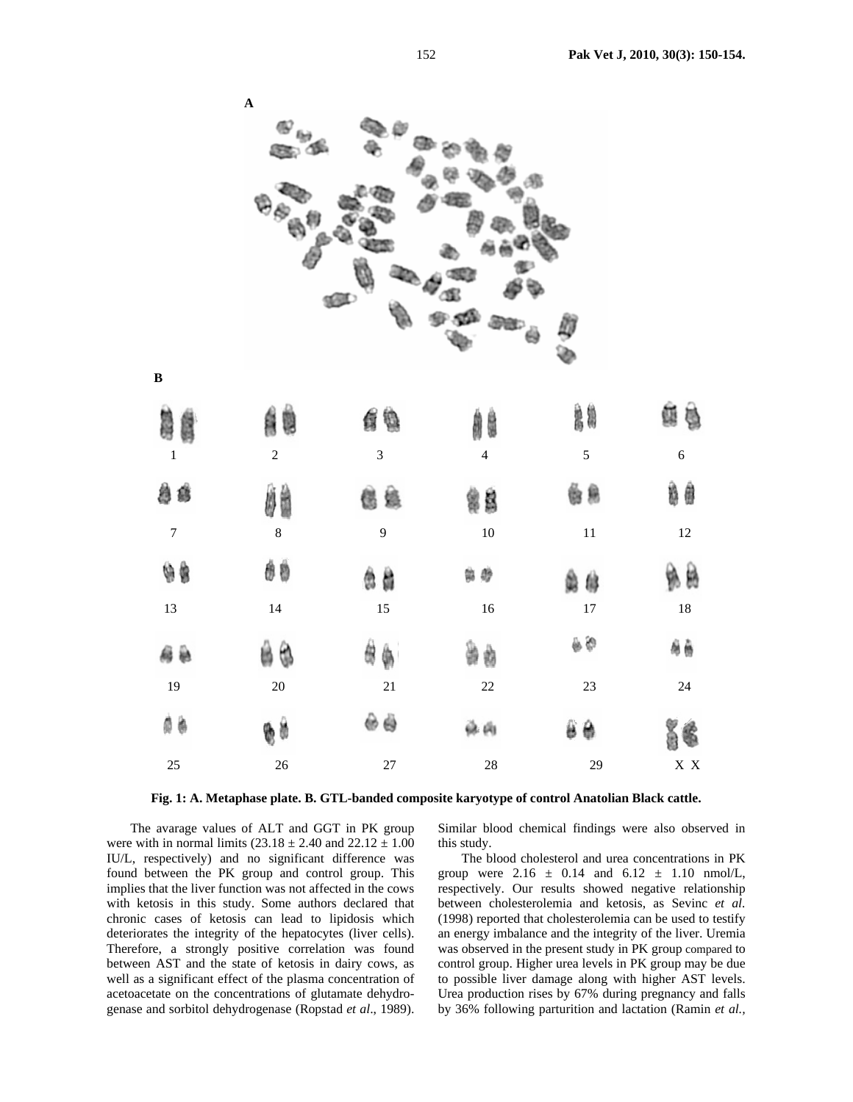

**Fig. 1: A. Metaphase plate. B. GTL-banded composite karyotype of control Anatolian Black cattle.** 

The avarage values of ALT and GGT in PK group were with in normal limits  $(23.18 \pm 2.40$  and  $22.12 \pm 1.00$ IU/L, respectively) and no significant difference was found between the PK group and control group. This implies that the liver function was not affected in the cows with ketosis in this study. Some authors declared that chronic cases of ketosis can lead to lipidosis which deteriorates the integrity of the hepatocytes (liver cells). Therefore, a strongly positive correlation was found between AST and the state of ketosis in dairy cows, as well as a significant effect of the plasma concentration of acetoacetate on the concentrations of glutamate dehydrogenase and sorbitol dehydrogenase (Ropstad *et al*., 1989).

Similar blood chemical findings were also observed in this study.

The blood cholesterol and urea concentrations in PK group were  $2.16 \pm 0.14$  and  $6.12 \pm 1.10$  nmol/L, respectively. Our results showed negative relationship between cholesterolemia and ketosis, as Sevinc *et al.* (1998) reported that cholesterolemia can be used to testify an energy imbalance and the integrity of the liver. Uremia was observed in the present study in PK group compared to control group. Higher urea levels in PK group may be due to possible liver damage along with higher AST levels. Urea production rises by 67% during pregnancy and falls by 36% following parturition and lactation (Ramin *et al.,*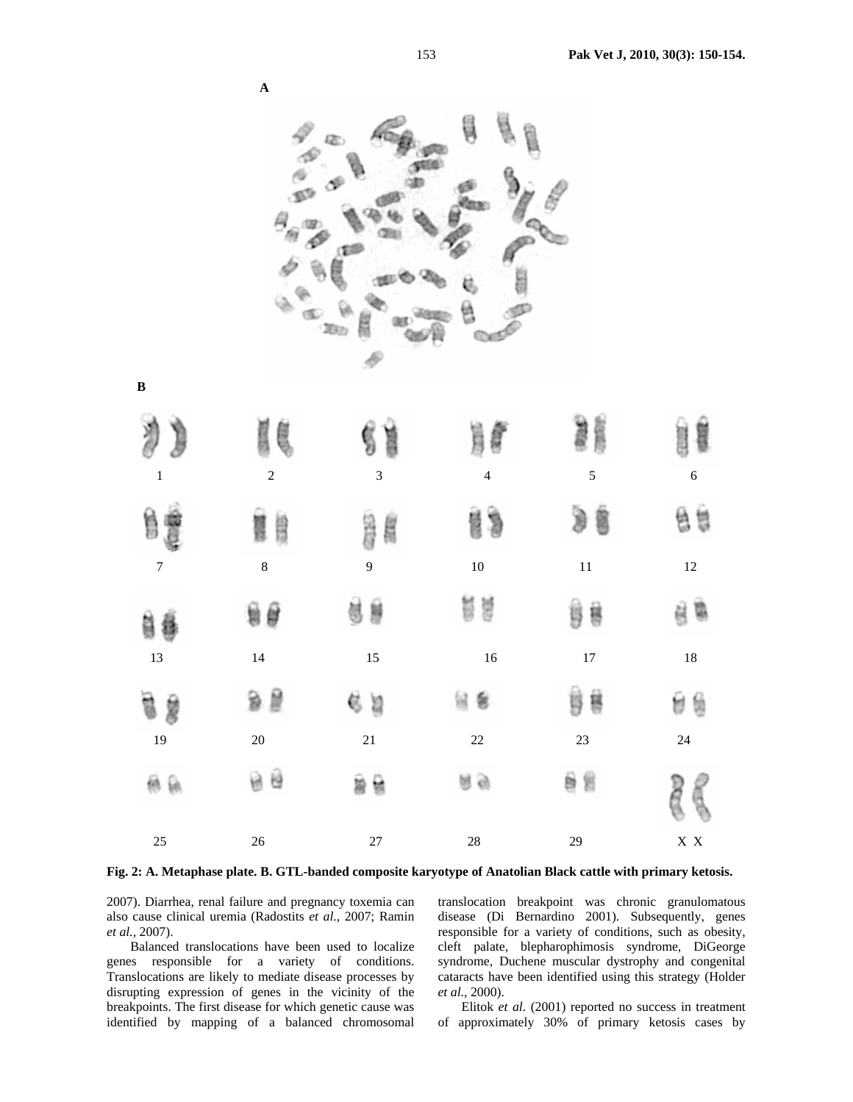| y<br>$\,1\,$     | ĝ<br>$\sqrt{2}$ | $\overline{3}$ | $\overline{4}$ | 5      | $\sqrt{6}$                |
|------------------|-----------------|----------------|----------------|--------|---------------------------|
| Ë                | Ë               | SE 19<br>距距    | 質質             |        | 昏暮                        |
| $\boldsymbol{7}$ | $\bf 8$         | $\overline{9}$ | $10\,$         | $11\,$ | $12\,$                    |
| 自喜               | 9€              | 萝<br>哥         | 葛景             | ĝ<br>황 | ë                         |
| 13               | 14              | 15             | $16\,$         | $17\,$ | $18\,$                    |
| 盲兽               | 9 E             | 65             | 형              | ÿ<br>흉 | 憩<br>U                    |
| 19               | 20              | 21             | $22\,$         | 23     | $24\,$                    |
| 無氣               | 음 원             | ÿ<br>曽         | 日目             | 旨<br>ë |                           |
| $25\,$           | $26\,$          | $27\,$         | $28\,$         | 29     | $\mathbf{X} \ \mathbf{X}$ |

**Fig. 2: A. Metaphase plate. B. GTL-banded composite karyotype of Anatolian Black cattle with primary ketosis.** 

2007). Diarrhea, renal failure and pregnancy toxemia can also cause clinical uremia (Radostits *et al.,* 2007; Ramin *et al.,* 2007).

**A** 

**B**

Balanced translocations have been used to localize genes responsible for a variety of conditions. Translocations are likely to mediate disease processes by disrupting expression of genes in the vicinity of the breakpoints. The first disease for which genetic cause was identified by mapping of a balanced chromosomal translocation breakpoint was chronic granulomatous disease (Di Bernardino 2001). Subsequently, genes responsible for a variety of conditions, such as obesity, cleft palate, blepharophimosis syndrome, DiGeorge syndrome, Duchene muscular dystrophy and congenital cataracts have been identified using this strategy (Holder *et al.,* 2000).

Elitok *et al.* (2001) reported no success in treatment of approximately 30% of primary ketosis cases by